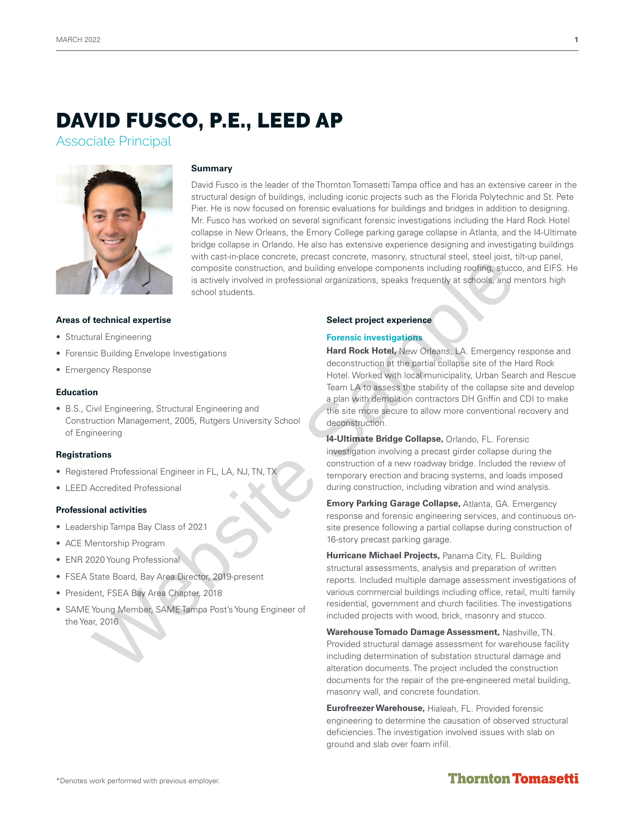# DAVID FUSCO, P.E., LEED AP

Associate Principal



### **Summary**

David Fusco is the leader of the Thornton Tomasetti Tampa office and has an extensive career in the structural design of buildings, including iconic projects such as the Florida Polytechnic and St. Pete Pier. He is now focused on forensic evaluations for buildings and bridges in addition to designing. Mr. Fusco has worked on several significant forensic investigations including the Hard Rock Hotel collapse in New Orleans, the Emory College parking garage collapse in Atlanta, and the I4-Ultimate bridge collapse in Orlando. He also has extensive experience designing and investigating buildings with cast-in-place concrete, precast concrete, masonry, structural steel, steel joist, tilt-up panel, composite construction, and building envelope components including roofing, stucco, and EIFS. He is actively involved in professional organizations, speaks frequently at schools, and mentors high school students.

### **Areas of technical expertise**

- Structural Engineering
- Forensic Building Envelope Investigations
- Emergency Response

### **Education**

• B.S., Civil Engineering, Structural Engineering and Construction Management, 2005, Rutgers University School of Engineering

### **Registrations**

- Registered Professional Engineer in FL, LA, NJ, TN, TX
- LEED Accredited Professional

### **Professional activities**

- Leadership Tampa Bay Class of 2021
- ACE Mentorship Program
- ENR 2020 Young Professional
- FSEA State Board, Bay Area Director, 2019-present
- President, FSEA Bay Area Chapter, 2018
- SAME Young Member, SAME Tampa Post's Young Engineer of the Year, 2016

### **Select project experience**

### **Forensic investigations**

**Hard Rock Hotel,** New Orleans, LA. Emergency response and deconstruction at the partial collapse site of the Hard Rock Hotel. Worked with local municipality, Urban Search and Rescue Team LA to assess the stability of the collapse site and develop a plan with demolition contractors DH Griffin and CDI to make the site more secure to allow more conventional recovery and deconstruction. Mathematic the state of the state of the state of the state of the state of the state of the state of the state of the state of the state of the state of the state of the state of the state of the state of the state of the

**I4-Ultimate Bridge Collapse,** Orlando, FL. Forensic investigation involving a precast girder collapse during the construction of a new roadway bridge. Included the review of temporary erection and bracing systems, and loads imposed during construction, including vibration and wind analysis.

**Emory Parking Garage Collapse,** Atlanta, GA. Emergency response and forensic engineering services, and continuous onsite presence following a partial collapse during construction of 16-story precast parking garage.

**Hurricane Michael Projects,** Panama City, FL. Building structural assessments, analysis and preparation of written reports. Included multiple damage assessment investigations of various commercial buildings including office, retail, multi family residential, government and church facilities. The investigations included projects with wood, brick, masonry and stucco.

**Warehouse Tornado Damage Assessment,** Nashville, TN. Provided structural damage assessment for warehouse facility including determination of substation structural damage and alteration documents. The project included the construction documents for the repair of the pre-engineered metal building, masonry wall, and concrete foundation.

**Eurofreezer Warehouse,** Hialeah, FL. Provided forensic engineering to determine the causation of observed structural deficiencies. The investigation involved issues with slab on ground and slab over foam infill.

# **Thornton Tomasetti**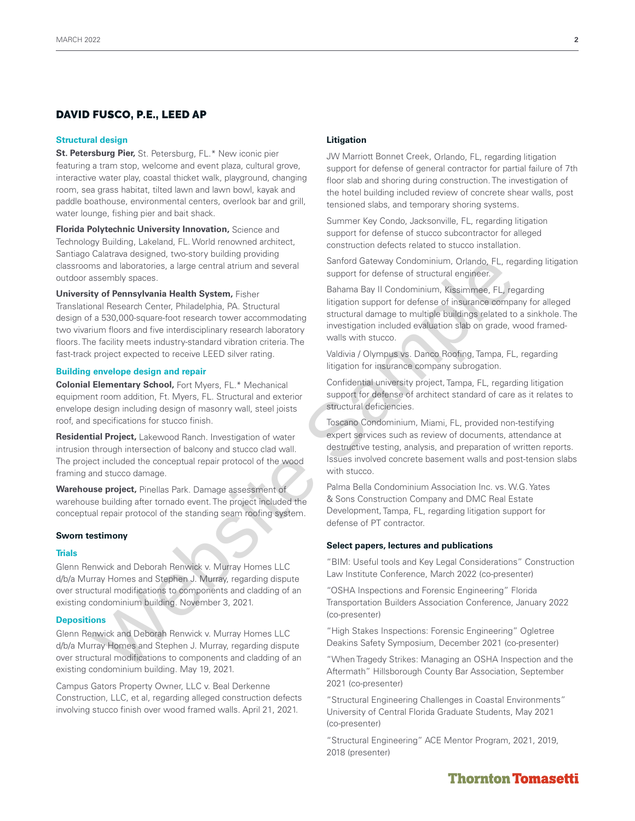### DAVID FUSCO, P.E., LEED AP

### **Structural design**

**St. Petersburg Pier,** St. Petersburg, FL.\* New iconic pier featuring a tram stop, welcome and event plaza, cultural grove, interactive water play, coastal thicket walk, playground, changing room, sea grass habitat, tilted lawn and lawn bowl, kayak and paddle boathouse, environmental centers, overlook bar and grill, water lounge, fishing pier and bait shack.

**Florida Polytechnic University Innovation,** Science and Technology Building, Lakeland, FL. World renowned architect, Santiago Calatrava designed, two-story building providing classrooms and laboratories, a large central atrium and several outdoor assembly spaces.

**University of Pennsylvania Health System,** Fisher Translational Research Center, Philadelphia, PA. Structural design of a 530,000-square-foot research tower accommodating two vivarium floors and five interdisciplinary research laboratory floors. The facility meets industry-standard vibration criteria. The fast-track project expected to receive LEED silver rating. ms and laboratories, a large central atium and several<br>
suspend to disterber of structural engineer. Fit, resp. For the sample of the sample of the sample of the sample of the sample of the sample of the sample of the samp

### **Building envelope design and repair**

**Colonial Elementary School,** Fort Myers, FL.\* Mechanical equipment room addition, Ft. Myers, FL. Structural and exterior envelope design including design of masonry wall, steel joists roof, and specifications for stucco finish.

**Residential Project,** Lakewood Ranch. Investigation of water intrusion through intersection of balcony and stucco clad wall. The project included the conceptual repair protocol of the wood framing and stucco damage.

**Warehouse project,** Pinellas Park. Damage assessment of warehouse building after tornado event. The project included the conceptual repair protocol of the standing seam roofing system.

### **Sworn testimony**

### **Trials**

Glenn Renwick and Deborah Renwick v. Murray Homes LLC d/b/a Murray Homes and Stephen J. Murray, regarding dispute over structural modifications to components and cladding of an existing condominium building. November 3, 2021.

### **Depositions**

Glenn Renwick and Deborah Renwick v. Murray Homes LLC d/b/a Murray Homes and Stephen J. Murray, regarding dispute over structural modifications to components and cladding of an existing condominium building. May 19, 2021.

Campus Gators Property Owner, LLC v. Beal Derkenne Construction, LLC, et al, regarding alleged construction defects involving stucco finish over wood framed walls. April 21, 2021.

### **Litigation**

JW Marriott Bonnet Creek, Orlando, FL, regarding litigation support for defense of general contractor for partial failure of 7th floor slab and shoring during construction. The investigation of the hotel building included review of concrete shear walls, post tensioned slabs, and temporary shoring systems.

Summer Key Condo, Jacksonville, FL, regarding litigation support for defense of stucco subcontractor for alleged construction defects related to stucco installation.

Sanford Gateway Condominium, Orlando, FL, regarding litigation support for defense of structural engineer.

Bahama Bay II Condominium, Kissimmee, FL, regarding litigation support for defense of insurance company for alleged structural damage to multiple buildings related to a sinkhole. The investigation included evaluation slab on grade, wood framedwalls with stucco.

Valdivia / Olympus vs. Danco Roofing, Tampa, FL, regarding litigation for insurance company subrogation.

Confidential university project, Tampa, FL, regarding litigation support for defense of architect standard of care as it relates to structural deficiencies.

Toscano Condominium, Miami, FL, provided non-testifying expert services such as review of documents, attendance at destructive testing, analysis, and preparation of written reports. Issues involved concrete basement walls and post-tension slabs with stucco.

Palma Bella Condominium Association Inc. vs. W.G. Yates & Sons Construction Company and DMC Real Estate Development, Tampa, FL, regarding litigation support for defense of PT contractor.

### **Select papers, lectures and publications**

"BIM: Useful tools and Key Legal Considerations" Construction Law Institute Conference, March 2022 (co-presenter)

"OSHA Inspections and Forensic Engineering" Florida Transportation Builders Association Conference, January 2022 (co-presenter)

"High Stakes Inspections: Forensic Engineering" Ogletree Deakins Safety Symposium, December 2021 (co-presenter)

"When Tragedy Strikes: Managing an OSHA Inspection and the Aftermath" Hillsborough County Bar Association, September 2021 (co-presenter)

"Structural Engineering Challenges in Coastal Environments" University of Central Florida Graduate Students, May 2021 (co-presenter)

"Structural Engineering" ACE Mentor Program, 2021, 2019, 2018 (presenter)